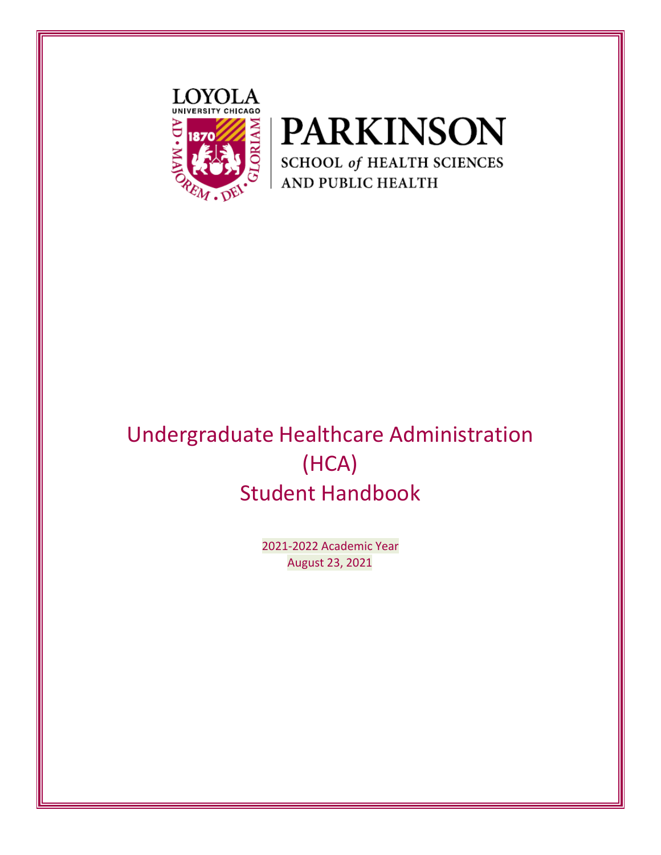



# Undergraduate Healthcare Administration (HCA) Student Handbook

2021-2022 Academic Year August 23, 2021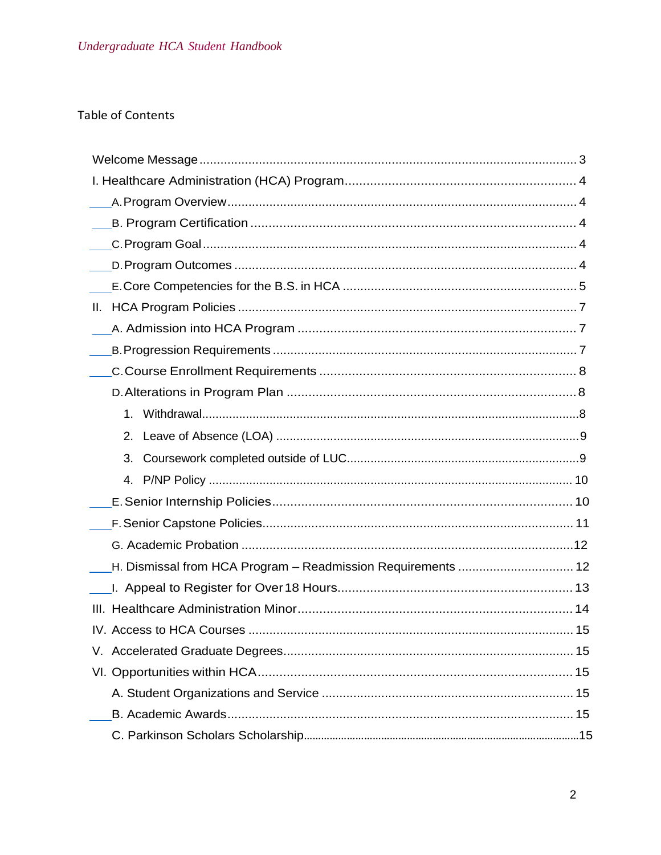# **Table of Contents**

| Ш.                                                           |
|--------------------------------------------------------------|
|                                                              |
|                                                              |
|                                                              |
|                                                              |
| 1.                                                           |
| 2.                                                           |
| 3.                                                           |
| 4.                                                           |
|                                                              |
|                                                              |
|                                                              |
| H. Dismissal from HCA Program - Readmission Requirements  12 |
|                                                              |
|                                                              |
|                                                              |
|                                                              |
|                                                              |
|                                                              |
|                                                              |
|                                                              |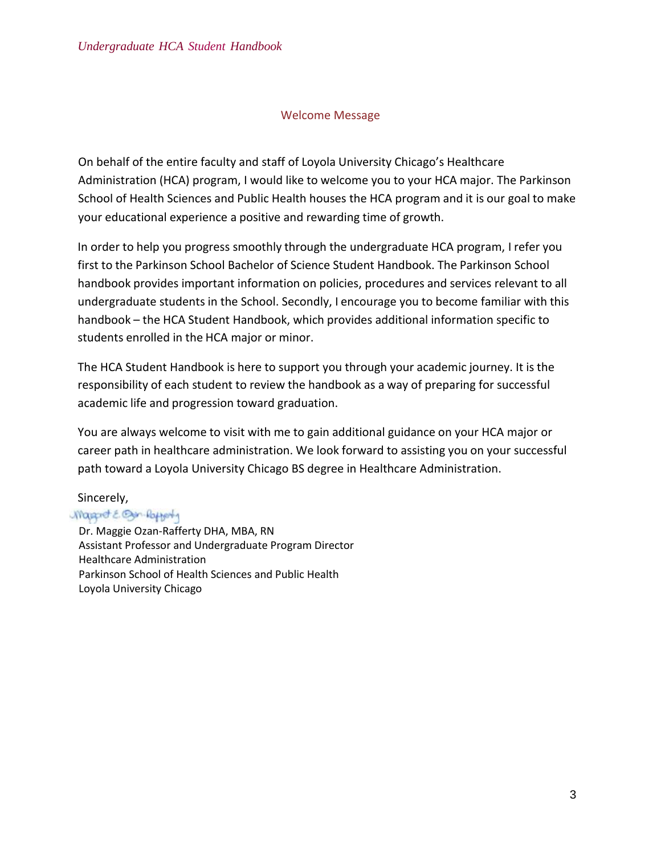#### Welcome Message

On behalf of the entire faculty and staff of Loyola University Chicago's Healthcare Administration (HCA) program, I would like to welcome you to your HCA major. The Parkinson School of Health Sciences and Public Health houses the HCA program and it is our goal to make your educational experience a positive and rewarding time of growth.

In order to help you progress smoothly through the undergraduate HCA program, I refer you first to the Parkinson School Bachelor of Science Student Handbook. The Parkinson School handbook provides important information on policies, procedures and services relevant to all undergraduate students in the School. Secondly, I encourage you to become familiar with this handbook – the HCA Student Handbook, which provides additional information specific to students enrolled in the HCA major or minor.

The HCA Student Handbook is here to support you through your academic journey. It is the responsibility of each student to review the handbook as a way of preparing for successful academic life and progression toward graduation.

You are always welcome to visit with me to gain additional guidance on your HCA major or career path in healthcare administration. We look forward to assisting you on your successful path toward a Loyola University Chicago BS degree in Healthcare Administration.

#### Sincerely,

#### Magaret E. Ban-Rofferty

Dr. Maggie Ozan-Rafferty DHA, MBA, RN Assistant Professor and Undergraduate Program Director Healthcare Administration Parkinson School of Health Sciences and Public Health Loyola University Chicago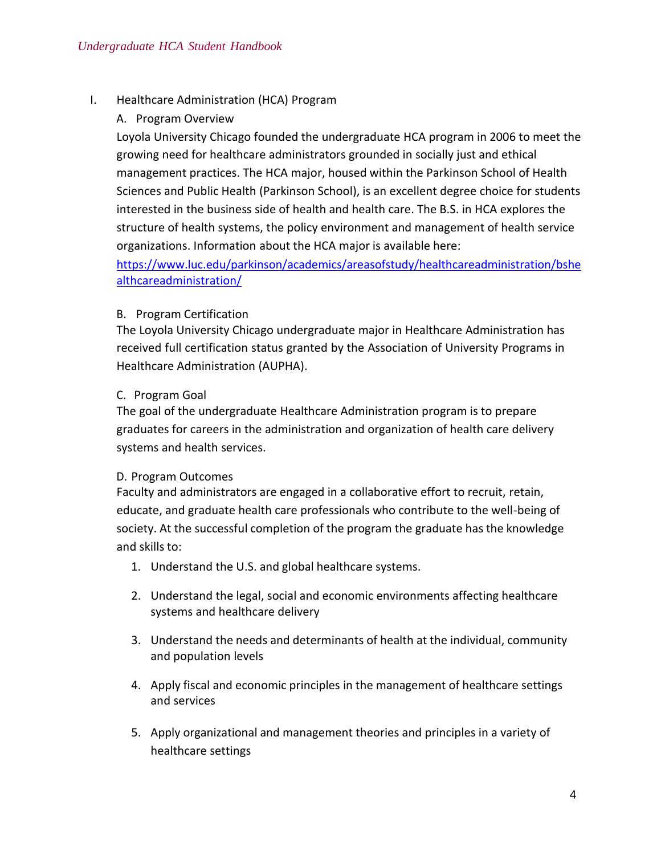I. Healthcare Administration (HCA) Program

# A. Program Overview

Loyola University Chicago founded the undergraduate HCA program in 2006 to meet the growing need for healthcare administrators grounded in socially just and ethical management practices. The HCA major, housed within the Parkinson School of Health Sciences and Public Health (Parkinson School), is an excellent degree choice for students interested in the business side of health and health care. The B.S. in HCA explores the structure of health systems, the policy environment and management of health service organizations. Information about the HCA major is available here:

[https://www.luc.edu/parkinson/academics/areasofstudy/healthcareadministration/bshe](https://www.luc.edu/parkinson/academics/areasofstudy/healthcareadministration/bshealthcareadministration/) [althcareadministration/](https://www.luc.edu/parkinson/academics/areasofstudy/healthcareadministration/bshealthcareadministration/)

# B. Program Certification

The Loyola University Chicago undergraduate major in Healthcare Administration has received full certification status granted by the Association of University Programs in Healthcare Administration (AUPHA).

# C. Program Goal

The goal of the undergraduate Healthcare Administration program is to prepare graduates for careers in the administration and organization of health care delivery systems and health services.

# D. Program Outcomes

Faculty and administrators are engaged in a collaborative effort to recruit, retain, educate, and graduate health care professionals who contribute to the well-being of society. At the successful completion of the program the graduate has the knowledge and skills to:

- 1. Understand the U.S. and global healthcare systems.
- 2. Understand the legal, social and economic environments affecting healthcare systems and healthcare delivery
- 3. Understand the needs and determinants of health at the individual, community and population levels
- 4. Apply fiscal and economic principles in the management of healthcare settings and services
- 5. Apply organizational and management theories and principles in a variety of healthcare settings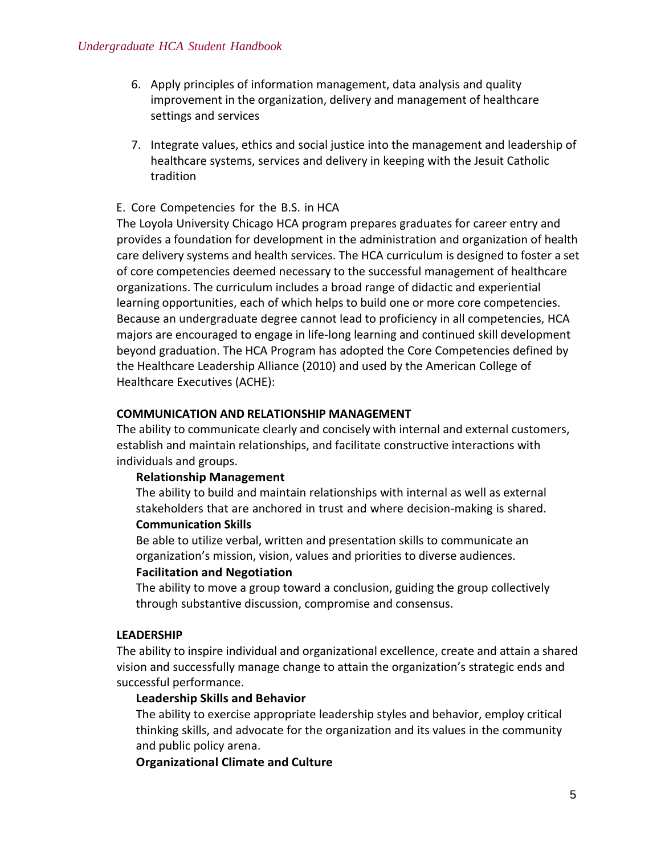- 6. Apply principles of information management, data analysis and quality improvement in the organization, delivery and management of healthcare settings and services
- 7. Integrate values, ethics and social justice into the management and leadership of healthcare systems, services and delivery in keeping with the Jesuit Catholic tradition

#### E. Core Competencies for the B.S. in HCA

The Loyola University Chicago HCA program prepares graduates for career entry and provides a foundation for development in the administration and organization of health care delivery systems and health services. The HCA curriculum is designed to foster a set of core competencies deemed necessary to the successful management of healthcare organizations. The curriculum includes a broad range of didactic and experiential learning opportunities, each of which helps to build one or more core competencies. Because an undergraduate degree cannot lead to proficiency in all competencies, HCA majors are encouraged to engage in life-long learning and continued skill development beyond graduation. The HCA Program has adopted the Core Competencies defined by the Healthcare Leadership Alliance (2010) and used by the American College of Healthcare Executives (ACHE):

#### **COMMUNICATION AND RELATIONSHIP MANAGEMENT**

The ability to communicate clearly and concisely with internal and external customers, establish and maintain relationships, and facilitate constructive interactions with individuals and groups.

#### **Relationship Management**

The ability to build and maintain relationships with internal as well as external stakeholders that are anchored in trust and where decision-making is shared.

#### **Communication Skills**

Be able to utilize verbal, written and presentation skills to communicate an organization's mission, vision, values and priorities to diverse audiences.

#### **Facilitation and Negotiation**

The ability to move a group toward a conclusion, guiding the group collectively through substantive discussion, compromise and consensus.

#### **LEADERSHIP**

The ability to inspire individual and organizational excellence, create and attain a shared vision and successfully manage change to attain the organization's strategic ends and successful performance.

#### **Leadership Skills and Behavior**

The ability to exercise appropriate leadership styles and behavior, employ critical thinking skills, and advocate for the organization and its values in the community and public policy arena.

#### **Organizational Climate and Culture**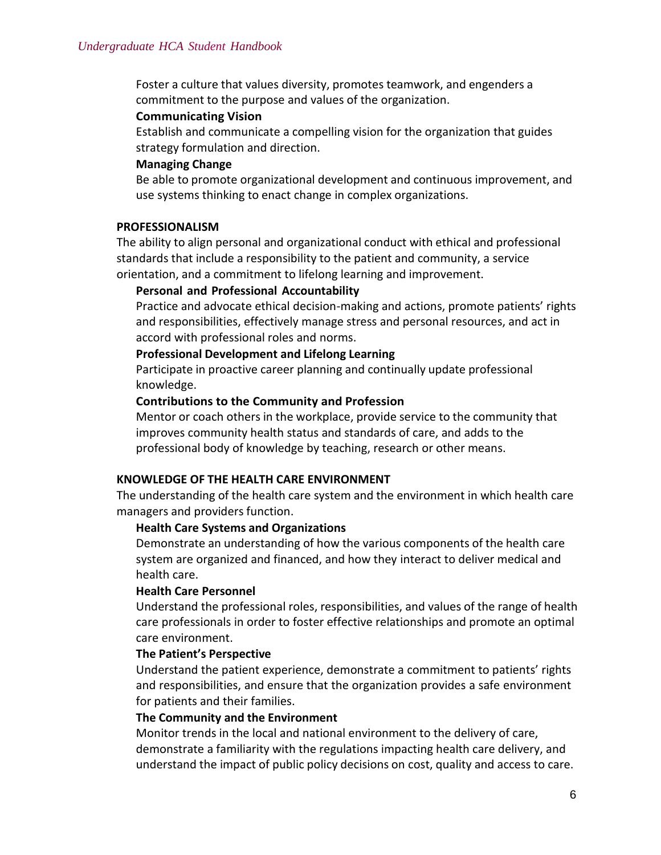Foster a culture that values diversity, promotes teamwork, and engenders a commitment to the purpose and values of the organization.

#### **Communicating Vision**

Establish and communicate a compelling vision for the organization that guides strategy formulation and direction.

#### **Managing Change**

Be able to promote organizational development and continuous improvement, and use systems thinking to enact change in complex organizations.

#### **PROFESSIONALISM**

The ability to align personal and organizational conduct with ethical and professional standards that include a responsibility to the patient and community, a service orientation, and a commitment to lifelong learning and improvement.

#### **Personal and Professional Accountability**

Practice and advocate ethical decision-making and actions, promote patients' rights and responsibilities, effectively manage stress and personal resources, and act in accord with professional roles and norms.

#### **Professional Development and Lifelong Learning**

Participate in proactive career planning and continually update professional knowledge.

#### **Contributions to the Community and Profession**

Mentor or coach others in the workplace, provide service to the community that improves community health status and standards of care, and adds to the professional body of knowledge by teaching, research or other means.

#### **KNOWLEDGE OF THE HEALTH CARE ENVIRONMENT**

The understanding of the health care system and the environment in which health care managers and providers function.

#### **Health Care Systems and Organizations**

Demonstrate an understanding of how the various components of the health care system are organized and financed, and how they interact to deliver medical and health care.

#### **Health Care Personnel**

Understand the professional roles, responsibilities, and values of the range of health care professionals in order to foster effective relationships and promote an optimal care environment.

#### **The Patient's Perspective**

Understand the patient experience, demonstrate a commitment to patients' rights and responsibilities, and ensure that the organization provides a safe environment for patients and their families.

#### **The Community and the Environment**

Monitor trends in the local and national environment to the delivery of care, demonstrate a familiarity with the regulations impacting health care delivery, and understand the impact of public policy decisions on cost, quality and access to care.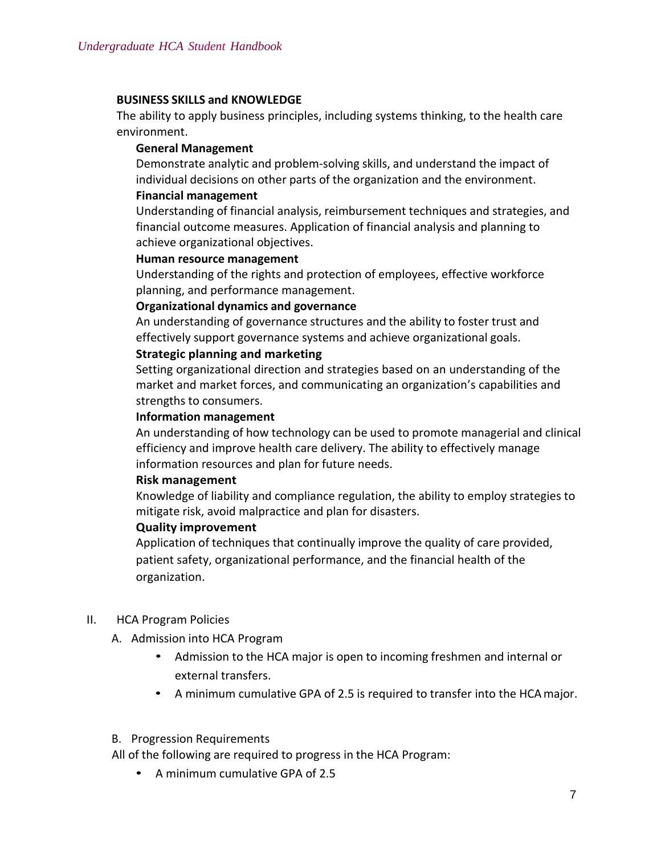#### **BUSINESS SKILLS and KNOWLEDGE**

The ability to apply business principles, including systems thinking, to the health care environment.

#### **General Management**

Demonstrate analytic and problem-solving skills, and understand the impact of individual decisions on other parts of the organization and the environment.

#### **Financial management**

Understanding of financial analysis, reimbursement techniques and strategies, and financial outcome measures. Application of financial analysis and planning to achieve organizational objectives.

#### **Human resource management**

Understanding of the rights and protection of employees, effective workforce planning, and performance management.

#### **Organizational dynamics and governance**

An understanding of governance structures and the ability to foster trust and effectively support governance systems and achieve organizational goals.

#### **Strategic planning and marketing**

Setting organizational direction and strategies based on an understanding of the market and market forces, and communicating an organization's capabilities and strengths to consumers.

#### **Information management**

An understanding of how technology can be used to promote managerial and clinical efficiency and improve health care delivery. The ability to effectively manage information resources and plan for future needs.

#### **Risk management**

Knowledge of liability and compliance regulation, the ability to employ strategies to mitigate risk, avoid malpractice and plan for disasters.

#### **Quality improvement**

Application of techniques that continually improve the quality of care provided, patient safety, organizational performance, and the financial health of the organization.

#### II. HCA Program Policies

- A. Admission into HCA Program
	- Admission to the HCA major is open to incoming freshmen and internal or external transfers.
	- A minimum cumulative GPA of 2.5 is required to transfer into the HCAmajor.

#### B. Progression Requirements

All of the following are required to progress in the HCA Program:

• A minimum cumulative GPA of 2.5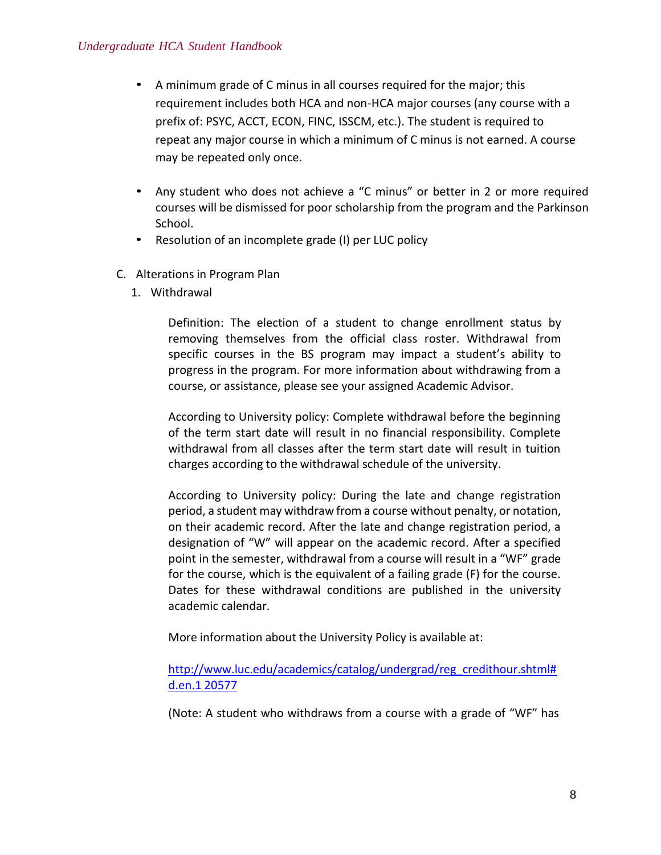- A minimum grade of C minus in all courses required for the major; this requirement includes both HCA and non-HCA major courses (any course with a prefix of: PSYC, ACCT, ECON, FINC, ISSCM, etc.). The student is required to repeat any major course in which a minimum of C minus is not earned. A course may be repeated only once.
- Any student who does not achieve a "C minus" or better in 2 or more required courses will be dismissed for poor scholarship from the program and the Parkinson School.
- Resolution of an incomplete grade (I) per LUC policy
- C. Alterations in Program Plan
	- 1. Withdrawal

Definition: The election of a student to change enrollment status by removing themselves from the official class roster. Withdrawal from specific courses in the BS program may impact a student's ability to progress in the program. For more information about withdrawing from a course, or assistance, please see your assigned Academic Advisor.

According to University policy: Complete withdrawal before the beginning of the term start date will result in no financial responsibility. Complete withdrawal from all classes after the term start date will result in tuition charges according to the withdrawal schedule of the university.

According to University policy: During the late and change registration period, a student may withdraw from a course without penalty, or notation, on their academic record. After the late and change registration period, a designation of "W" will appear on the academic record. After a specified point in the semester, withdrawal from a course will result in a "WF" grade for the course, which is the equivalent of a failing grade (F) for the course. Dates for these withdrawal conditions are published in the university academic calendar.

More information about the University Policy is available at:

[http://www.luc.edu/academics/catalog/undergrad/reg\\_credithour.shtml#](http://www.luc.edu/academics/catalog/undergrad/reg_credithour.shtml#d.en.120577) [d.en.1](http://www.luc.edu/academics/catalog/undergrad/reg_credithour.shtml#d.en.120577) [20577](http://www.luc.edu/academics/catalog/undergrad/reg_credithour.shtml#d.en.120577)

(Note: A student who withdraws from a course with a grade of "WF" has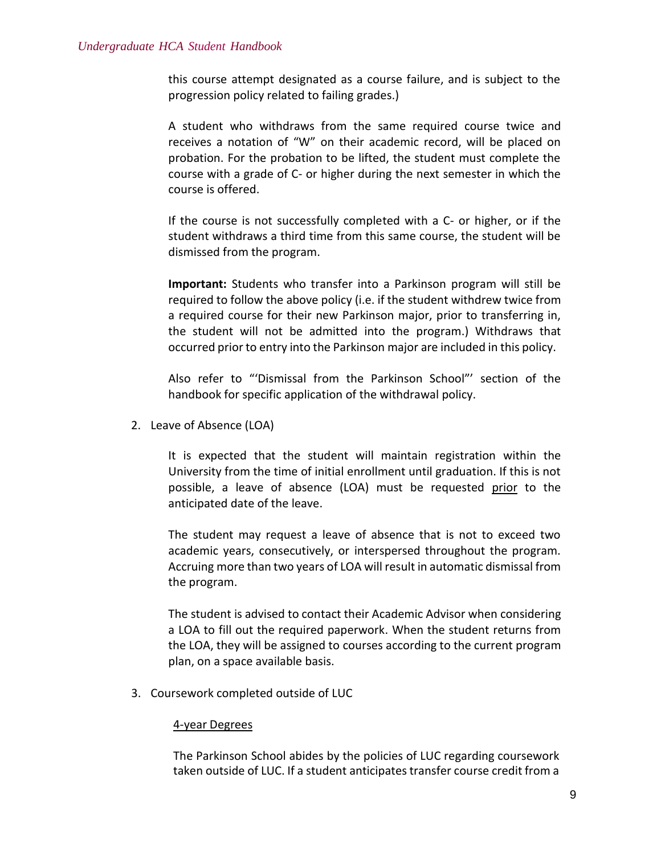this course attempt designated as a course failure, and is subject to the progression policy related to failing grades.)

A student who withdraws from the same required course twice and receives a notation of "W" on their academic record, will be placed on probation. For the probation to be lifted, the student must complete the course with a grade of C- or higher during the next semester in which the course is offered.

If the course is not successfully completed with a C- or higher, or if the student withdraws a third time from this same course, the student will be dismissed from the program.

**Important:** Students who transfer into a Parkinson program will still be required to follow the above policy (i.e. if the student withdrew twice from a required course for their new Parkinson major, prior to transferring in, the student will not be admitted into the program.) Withdraws that occurred priorto entry into the Parkinson major are included in this policy.

Also refer to "'Dismissal from the Parkinson School"' section of the handbook for specific application of the withdrawal policy.

2. Leave of Absence (LOA)

It is expected that the student will maintain registration within the University from the time of initial enrollment until graduation. If this is not possible, a leave of absence (LOA) must be requested prior to the anticipated date of the leave.

The student may request a leave of absence that is not to exceed two academic years, consecutively, or interspersed throughout the program. Accruing more than two years of LOA will result in automatic dismissal from the program.

The student is advised to contact their Academic Advisor when considering a LOA to fill out the required paperwork. When the student returns from the LOA, they will be assigned to courses according to the current program plan, on a space available basis.

3. Coursework completed outside of LUC

#### 4-year Degrees

The Parkinson School abides by the policies of LUC regarding coursework taken outside of LUC. If a student anticipates transfer course credit from a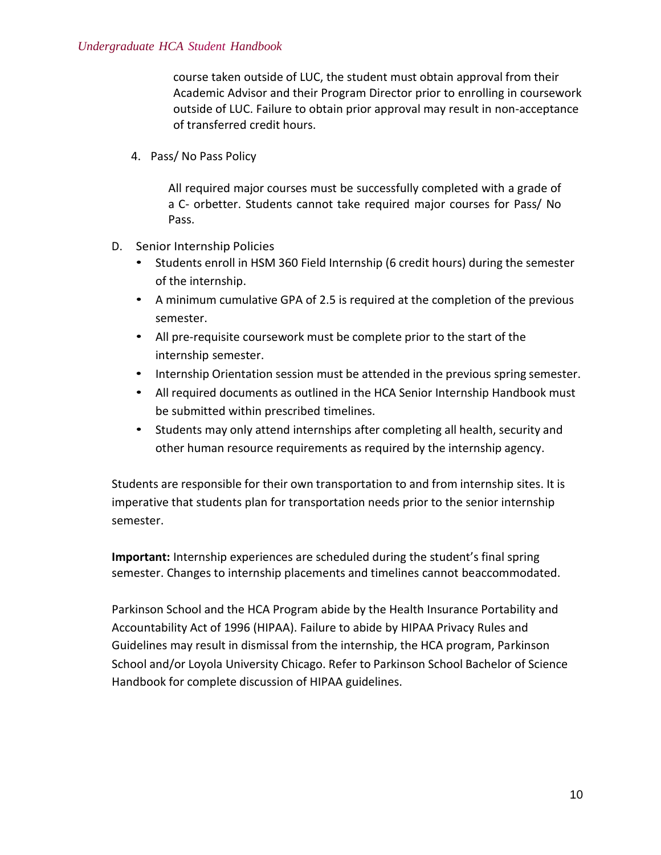course taken outside of LUC, the student must obtain approval from their Academic Advisor and their Program Director prior to enrolling in coursework outside of LUC. Failure to obtain prior approval may result in non-acceptance of transferred credit hours.

4. Pass/ No Pass Policy

All required major courses must be successfully completed with a grade of a C- orbetter. Students cannot take required major courses for Pass/ No Pass.

- D. Senior Internship Policies
	- Students enroll in HSM 360 Field Internship (6 credit hours) during the semester of the internship.
	- A minimum cumulative GPA of 2.5 is required at the completion of the previous semester.
	- All pre-requisite coursework must be complete prior to the start of the internship semester.
	- Internship Orientation session must be attended in the previous spring semester.
	- All required documents as outlined in the HCA Senior Internship Handbook must be submitted within prescribed timelines.
	- Students may only attend internships after completing all health, security and other human resource requirements as required by the internship agency.

Students are responsible for their own transportation to and from internship sites. It is imperative that students plan for transportation needs prior to the senior internship semester.

**Important:** Internship experiences are scheduled during the student's final spring semester. Changes to internship placements and timelines cannot beaccommodated.

Parkinson School and the HCA Program abide by the Health Insurance Portability and Accountability Act of 1996 (HIPAA). Failure to abide by HIPAA Privacy Rules and Guidelines may result in dismissal from the internship, the HCA program, Parkinson School and/or Loyola University Chicago. Refer to Parkinson School Bachelor of Science Handbook for complete discussion of HIPAA guidelines.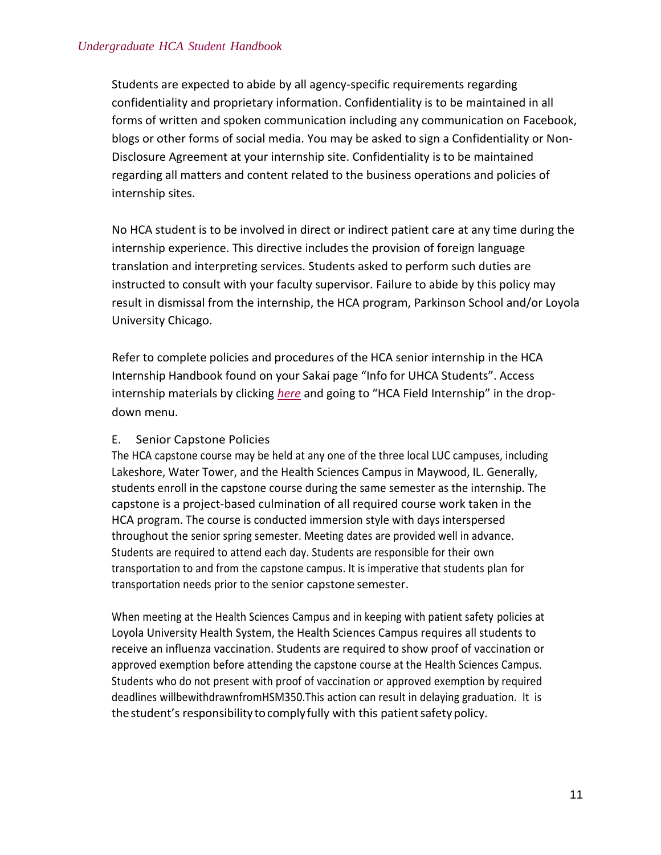Students are expected to abide by all agency-specific requirements regarding confidentiality and proprietary information. Confidentiality is to be maintained in all forms of written and spoken communication including any communication on Facebook, blogs or other forms of social media. You may be asked to sign a Confidentiality or Non-Disclosure Agreement at your internship site. Confidentiality is to be maintained regarding all matters and content related to the business operations and policies of internship sites.

No HCA student is to be involved in direct or indirect patient care at any time during the internship experience. This directive includes the provision of foreign language translation and interpreting services. Students asked to perform such duties are instructed to consult with your faculty supervisor. Failure to abide by this policy may result in dismissal from the internship, the HCA program, Parkinson School and/or Loyola University Chicago.

Refer to complete policies and procedures of the HCA senior internship in the HCA Internship Handbook found on your Sakai page "Info for UHCA Students". Access internship materials by clicking *here* and going to "HCA Field Internship" in the dropdown menu.

# E. Senior Capstone Policies

The HCA capstone course may be held at any one of the three local LUC campuses, including Lakeshore, Water Tower, and the Health Sciences Campus in Maywood, IL. Generally, students enroll in the capstone course during the same semester as the internship. The capstone is a project-based culmination of all required course work taken in the HCA program. The course is conducted immersion style with days interspersed throughout the senior spring semester. Meeting dates are provided well in advance. Students are required to attend each day. Students are responsible for their own transportation to and from the capstone campus. It is imperative that students plan for transportation needs prior to the senior capstone semester.

When meeting at the Health Sciences Campus and in keeping with patient safety policies at Loyola University Health System, the Health Sciences Campus requires all students to receive an influenza vaccination. Students are required to show proof of vaccination or approved exemption before attending the capstone course at the Health Sciences Campus. Students who do not present with proof of vaccination or approved exemption by required deadlines willbewithdrawnfromHSM350.This action can result in delaying graduation. It is the student's responsibility to comply fully with this patient safety policy.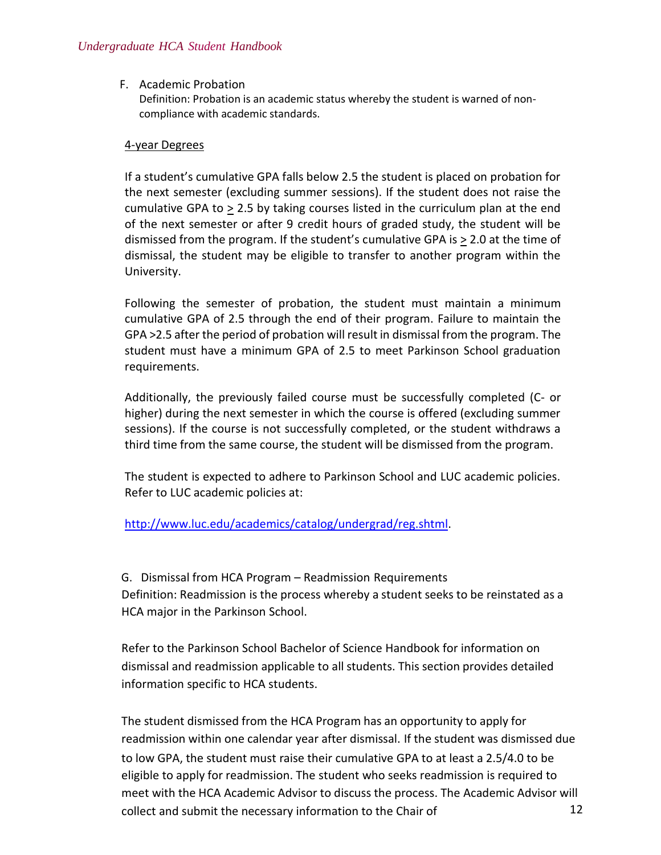#### F. Academic Probation

Definition: Probation is an academic status whereby the student is warned of noncompliance with academic standards.

#### 4-year Degrees

If a student's cumulative GPA falls below 2.5 the student is placed on probation for the next semester (excluding summer sessions). If the student does not raise the cumulative GPA to > 2.5 by taking courses listed in the curriculum plan at the end of the next semester or after 9 credit hours of graded study, the student will be dismissed from the program. If the student's cumulative GPA is > 2.0 at the time of dismissal, the student may be eligible to transfer to another program within the University.

Following the semester of probation, the student must maintain a minimum cumulative GPA of 2.5 through the end of their program. Failure to maintain the GPA >2.5 after the period of probation will result in dismissal from the program. The student must have a minimum GPA of 2.5 to meet Parkinson School graduation requirements.

Additionally, the previously failed course must be successfully completed (C- or higher) during the next semester in which the course is offered (excluding summer sessions). If the course is not successfully completed, or the student withdraws a third time from the same course, the student will be dismissed from the program.

The student is expected to adhere to Parkinson School and LUC academic policies. Refer to LUC academic policies at:

# [http://www.luc.edu/academics/catalog/undergrad/reg.shtml.](http://www.luc.edu/academics/catalog/undergrad/reg.shtml)

G. Dismissal from HCA Program – Readmission Requirements Definition: Readmission is the process whereby a student seeks to be reinstated as a HCA major in the Parkinson School.

Refer to the Parkinson School Bachelor of Science Handbook for information on dismissal and readmission applicable to all students. This section provides detailed information specific to HCA students.

eligible to apply for readmission. The student who seeks readmission is required to readmission within one calendar year after dismissal. If the student was dismissed due The student dismissed from the HCA Program has an opportunity to apply for meet with the HCA Academic Advisor to discuss the process. The Academic Advisor will collect and submit the necessary information to the Chair of 12 to low GPA, the student must raise their cumulative GPA to at least a 2.5/4.0 to be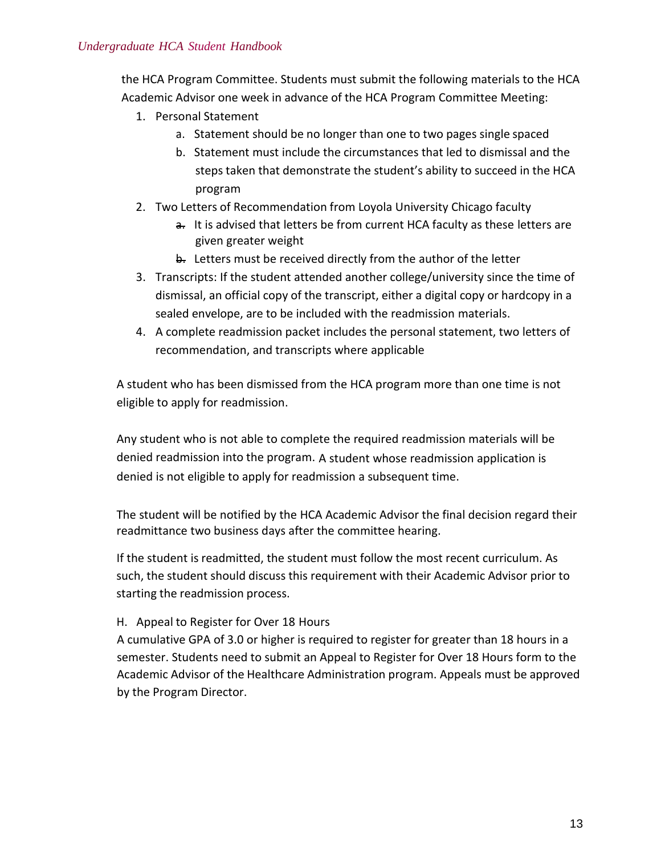the HCA Program Committee. Students must submit the following materials to the HCA Academic Advisor one week in advance of the HCA Program Committee Meeting:

- 1. Personal Statement
	- a. Statement should be no longer than one to two pages single spaced
	- b. Statement must include the circumstances that led to dismissal and the steps taken that demonstrate the student's ability to succeed in the HCA program
- 2. Two Letters of Recommendation from Loyola University Chicago faculty
	- a. It is advised that letters be from current HCA faculty as these letters are given greater weight
	- **b.** Letters must be received directly from the author of the letter
- 3. Transcripts: If the student attended another college/university since the time of dismissal, an official copy of the transcript, either a digital copy or hardcopy in a sealed envelope, are to be included with the readmission materials.
- 4. A complete readmission packet includes the personal statement, two letters of recommendation, and transcripts where applicable

A student who has been dismissed from the HCA program more than one time is not eligible to apply for readmission.

denied readmission into the program. A student whose readmission application is denied is not eligible to apply for readmission a subsequent time. Any student who is not able to complete the required readmission materials will be

The student will be notified by the HCA Academic Advisor the final decision regard their readmittance two business days after the committee hearing.

such, the student should discuss this requirement with their Academic Advisor prior to starting the readmission process. If the student is readmitted, the student must follow the most recent curriculum. As

#### H. Appeal to Register for Over 18 Hours

A cumulative GPA of 3.0 or higher is required to register for greater than 18 hours in a semester. Students need to submit an Appeal to Register for Over 18 Hours form to the Academic Advisor of the Healthcare Administration program. Appeals must be approved by the Program Director.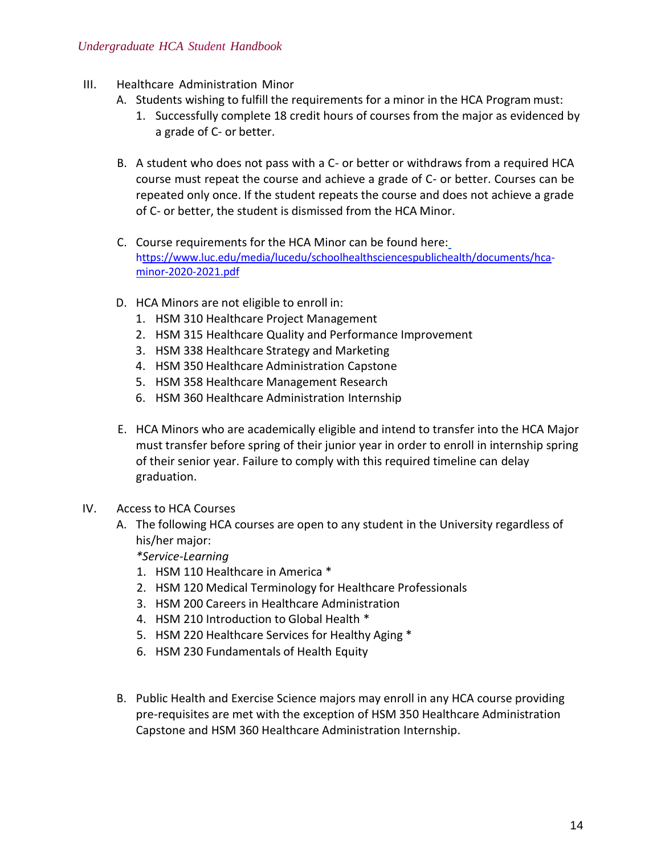- III. Healthcare Administration Minor
	- A. Students wishing to fulfill the requirements for a minor in the HCA Program must:
		- 1. Successfully complete 18 credit hours of courses from the major as evidenced by a grade of C- or better.
	- B. A student who does not pass with a C- or better or withdraws from a required HCA course must repeat the course and achieve a grade of C- or better. Courses can be repeated only once. If the student repeats the course and does not achieve a grade of C- or better, the student is dismissed from the HCA Minor.
	- C. Course requirements for the HCA Minor can be found here: [https://www.luc.edu/media/lucedu/schoolhealthsciencespublichealth/documents/hca](https://www.luc.edu/media/lucedu/schoolhealthsciencespublichealth/documents/HCA%20Minor.pdf)minor-2020-2021.pdf
	- D. HCA Minors are not eligible to enroll in:
		- 1. HSM 310 Healthcare Project Management
		- 2. HSM 315 Healthcare Quality and Performance Improvement
		- 3. HSM 338 Healthcare Strategy and Marketing
		- 4. HSM 350 Healthcare Administration Capstone
		- 5. HSM 358 Healthcare Management Research
		- 6. HSM 360 Healthcare Administration Internship
	- E. HCA Minors who are academically eligible and intend to transfer into the HCA Major must transfer before spring of their junior year in order to enroll in internship spring of their senior year. Failure to comply with this required timeline can delay graduation.
- IV. Access to HCA Courses
	- A. The following HCA courses are open to any student in the University regardless of his/her major:
		- *\*Service-Learning*
		- 1. HSM 110 Healthcare in America \*
		- 2. HSM 120 Medical Terminology for Healthcare Professionals
		- 3. HSM 200 Careers in Healthcare Administration
		- 4. HSM 210 Introduction to Global Health \*
		- 5. HSM 220 Healthcare Services for Healthy Aging \*
		- 6. HSM 230 Fundamentals of Health Equity
	- B. Public Health and Exercise Science majors may enroll in any HCA course providing pre-requisites are met with the exception of HSM 350 Healthcare Administration Capstone and HSM 360 Healthcare Administration Internship.